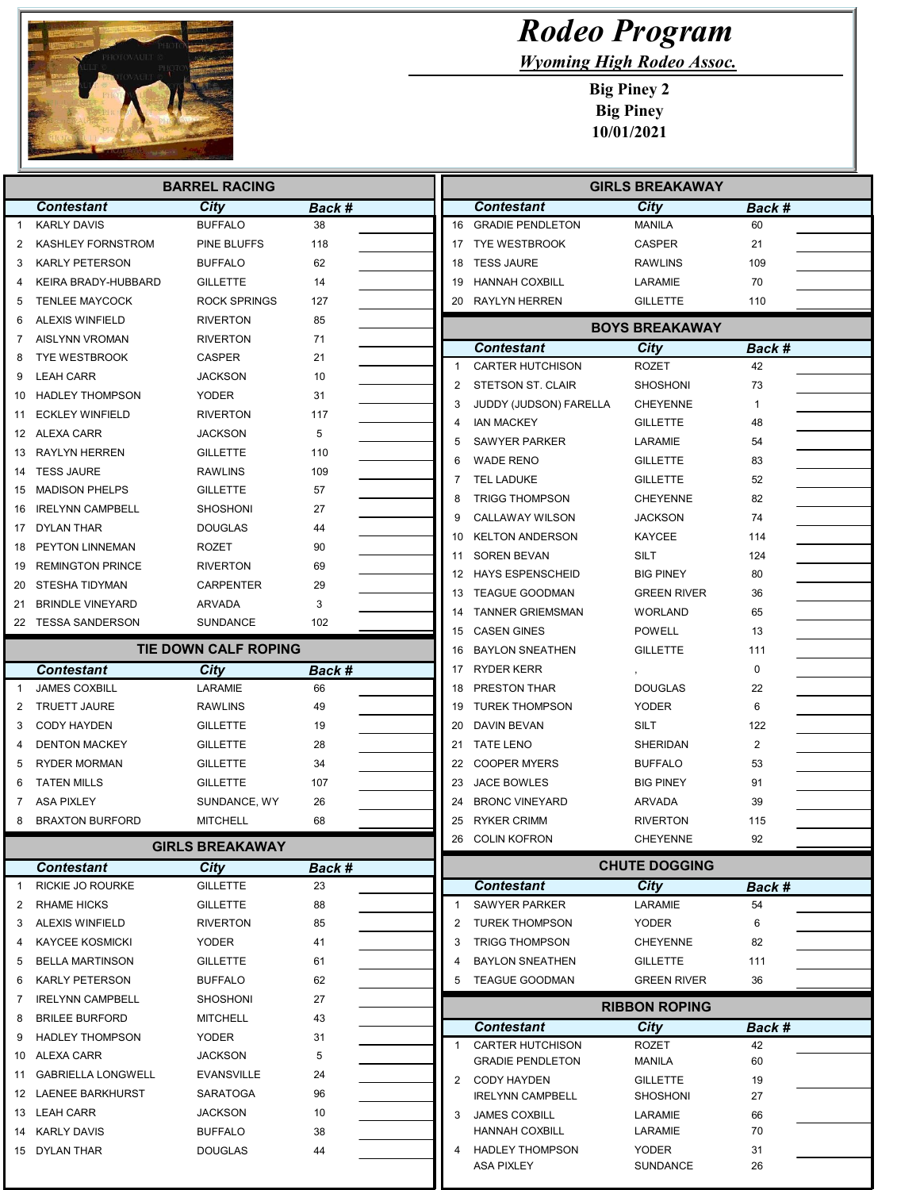

## Rodeo Program

Wyoming High Rodeo Assoc.

Big Piney 2 Big Piney 10/01/2021

| <b>BARREL RACING</b> |                                       |                                |              | <b>GIRLS BREAKAWAY</b> |                                          |                                    |                |  |  |
|----------------------|---------------------------------------|--------------------------------|--------------|------------------------|------------------------------------------|------------------------------------|----------------|--|--|
|                      | <b>Contestant</b>                     | City                           | Back #       |                        | <b>Contestant</b>                        | City                               | Back #         |  |  |
| $\mathbf{1}$         | <b>KARLY DAVIS</b>                    | <b>BUFFALO</b>                 | 38           |                        | 16 GRADIE PENDLETON                      | <b>MANILA</b>                      | 60             |  |  |
| 2                    | KASHLEY FORNSTROM                     | PINE BLUFFS                    | 118          |                        | 17 TYE WESTBROOK                         | <b>CASPER</b>                      | 21             |  |  |
| 3                    | <b>KARLY PETERSON</b>                 | <b>BUFFALO</b>                 | 62           | 18                     | <b>TESS JAURE</b>                        | <b>RAWLINS</b>                     | 109            |  |  |
| 4                    | KEIRA BRADY-HUBBARD                   | <b>GILLETTE</b>                | 14           | 19                     | <b>HANNAH COXBILL</b>                    | LARAMIE                            | 70             |  |  |
| 5                    | <b>TENLEE MAYCOCK</b>                 | <b>ROCK SPRINGS</b>            | 127          | 20                     | <b>RAYLYN HERREN</b>                     | <b>GILLETTE</b>                    | 110            |  |  |
| 6                    | <b>ALEXIS WINFIELD</b>                | <b>RIVERTON</b>                | 85           |                        |                                          | <b>BOYS BREAKAWAY</b>              |                |  |  |
| 7                    | AISLYNN VROMAN                        | <b>RIVERTON</b>                | 71           |                        | <b>Contestant</b>                        | City                               | Back #         |  |  |
| 8                    | <b>TYE WESTBROOK</b>                  | CASPER                         | 21           | 1                      | <b>CARTER HUTCHISON</b>                  | ROZET                              | 42             |  |  |
| 9                    | <b>LEAH CARR</b>                      | <b>JACKSON</b>                 | 10           | 2                      | STETSON ST. CLAIR                        | <b>SHOSHONI</b>                    | 73             |  |  |
| 10                   | <b>HADLEY THOMPSON</b>                | <b>YODER</b>                   | 31           | 3                      | JUDDY (JUDSON) FARELLA                   | <b>CHEYENNE</b>                    | $\mathbf{1}$   |  |  |
| 11                   | <b>ECKLEY WINFIELD</b>                | <b>RIVERTON</b>                | 117          | 4                      | <b>IAN MACKEY</b>                        | <b>GILLETTE</b>                    | 48             |  |  |
|                      | 12 ALEXA CARR                         | <b>JACKSON</b>                 | 5            | 5                      | <b>SAWYER PARKER</b>                     | LARAMIE                            | 54             |  |  |
|                      | 13 RAYLYN HERREN                      | <b>GILLETTE</b>                | 110          |                        | <b>WADE RENO</b>                         | <b>GILLETTE</b>                    | 83             |  |  |
|                      | 14 TESS JAURE                         | <b>RAWLINS</b>                 | 109          |                        | <b>TEL LADUKE</b>                        | <b>GILLETTE</b>                    | 52             |  |  |
| 15                   | <b>MADISON PHELPS</b>                 | <b>GILLETTE</b>                | 57           | 8                      | <b>TRIGG THOMPSON</b>                    | <b>CHEYENNE</b>                    | 82             |  |  |
| 16                   | <b>IRELYNN CAMPBELL</b>               | <b>SHOSHONI</b>                | 27           | 9                      | <b>CALLAWAY WILSON</b>                   | <b>JACKSON</b>                     | 74             |  |  |
| 17                   | DYLAN THAR                            | <b>DOUGLAS</b>                 | 44           | 10                     | <b>KELTON ANDERSON</b>                   | <b>KAYCEE</b>                      | 114            |  |  |
| 18                   | PEYTON LINNEMAN                       | ROZET                          | 90           | 11                     | <b>SOREN BEVAN</b>                       | SILT                               | 124            |  |  |
| 19                   | <b>REMINGTON PRINCE</b>               | <b>RIVERTON</b>                | 69           | 12                     | <b>HAYS ESPENSCHEID</b>                  | <b>BIG PINEY</b>                   | 80             |  |  |
| 20                   | STESHA TIDYMAN                        | <b>CARPENTER</b>               | 29           | 13                     | <b>TEAGUE GOODMAN</b>                    | <b>GREEN RIVER</b>                 | 36             |  |  |
| 21                   | <b>BRINDLE VINEYARD</b>               | <b>ARVADA</b>                  | 3            | 14                     | <b>TANNER GRIEMSMAN</b>                  | <b>WORLAND</b>                     | 65             |  |  |
|                      | 22 TESSA SANDERSON                    | <b>SUNDANCE</b>                | 102          | 15                     | <b>CASEN GINES</b>                       | <b>POWELL</b>                      | 13             |  |  |
|                      |                                       | TIE DOWN CALF ROPING           |              | 16                     | <b>BAYLON SNEATHEN</b>                   | <b>GILLETTE</b>                    | 111            |  |  |
|                      | <b>Contestant</b>                     | City                           | Back #       |                        | 17 RYDER KERR                            |                                    | $\mathbf 0$    |  |  |
| -1                   | <b>JAMES COXBILL</b>                  | LARAMIE                        | 66           | 18                     | PRESTON THAR                             | <b>DOUGLAS</b>                     | 22             |  |  |
| 2                    | <b>TRUETT JAURE</b>                   | <b>RAWLINS</b>                 | 49           | 19                     | <b>TUREK THOMPSON</b>                    | <b>YODER</b>                       | 6              |  |  |
| 3                    | <b>CODY HAYDEN</b>                    | <b>GILLETTE</b>                | 19           | 20                     | DAVIN BEVAN                              | SILT                               | 122            |  |  |
| 4                    | <b>DENTON MACKEY</b>                  | <b>GILLETTE</b>                | 28           |                        | 21 TATE LENO                             | <b>SHERIDAN</b>                    | $\overline{2}$ |  |  |
| 5                    | <b>RYDER MORMAN</b>                   | <b>GILLETTE</b>                | 34           | 22                     | <b>COOPER MYERS</b>                      | <b>BUFFALO</b>                     | 53             |  |  |
| 6                    | <b>TATEN MILLS</b>                    | <b>GILLETTE</b>                | 107          | 23                     | <b>JACE BOWLES</b>                       | <b>BIG PINEY</b>                   | 91             |  |  |
| 7                    | <b>ASA PIXLEY</b>                     | SUNDANCE, WY                   | 26           | 24                     | <b>BRONC VINEYARD</b>                    | ARVADA                             | 39             |  |  |
| 8                    | <b>BRAXTON BURFORD</b>                | <b>MITCHELL</b>                | 68           | 25                     | <b>RYKER CRIMM</b>                       | <b>RIVERTON</b>                    | 115            |  |  |
|                      |                                       |                                |              |                        | 26 COLIN KOFRON                          | <b>CHEYENNE</b>                    | 92             |  |  |
|                      | GIRLS BREAKAWAY                       |                                |              |                        | <b>CHUTE DOGGING</b>                     |                                    |                |  |  |
| 1                    | <b>Contestant</b><br>RICKIE JO ROURKE | <b>City</b><br><b>GILLETTE</b> | Back #<br>23 |                        | <b>Contestant</b>                        | <b>City</b>                        | Back #         |  |  |
| 2                    | <b>RHAME HICKS</b>                    | <b>GILLETTE</b>                | 88           | $\mathbf{1}$           | <b>SAWYER PARKER</b>                     | LARAMIE                            | 54             |  |  |
| 3                    | <b>ALEXIS WINFIELD</b>                | <b>RIVERTON</b>                | 85           | 2                      | <b>TUREK THOMPSON</b>                    | YODER                              | 6              |  |  |
| 4                    | <b>KAYCEE KOSMICKI</b>                | <b>YODER</b>                   | 41           | 3                      | <b>TRIGG THOMPSON</b>                    | <b>CHEYENNE</b>                    | 82             |  |  |
| 5                    | <b>BELLA MARTINSON</b>                | <b>GILLETTE</b>                | 61           | 4                      | <b>BAYLON SNEATHEN</b>                   | <b>GILLETTE</b>                    | 111            |  |  |
| 6                    | <b>KARLY PETERSON</b>                 | <b>BUFFALO</b>                 | 62           | 5                      | <b>TEAGUE GOODMAN</b>                    | <b>GREEN RIVER</b>                 | 36             |  |  |
| 7                    | <b>IRELYNN CAMPBELL</b>               | <b>SHOSHONI</b>                | 27           |                        |                                          |                                    |                |  |  |
| 8                    | <b>BRILEE BURFORD</b>                 | <b>MITCHELL</b>                | 43           |                        |                                          | <b>RIBBON ROPING</b>               |                |  |  |
| 9                    | <b>HADLEY THOMPSON</b>                | YODER                          | 31           |                        | <b>Contestant</b>                        | City                               | Back #         |  |  |
|                      | 10 ALEXA CARR                         | <b>JACKSON</b>                 | 5            | 1                      | <b>CARTER HUTCHISON</b>                  | ROZET                              | 42             |  |  |
| 11                   | <b>GABRIELLA LONGWELL</b>             | <b>EVANSVILLE</b>              | 24           |                        | <b>GRADIE PENDLETON</b>                  | MANILA                             | 60             |  |  |
|                      | 12 LAENEE BARKHURST                   | <b>SARATOGA</b>                | 96           |                        | 2 CODY HAYDEN<br><b>IRELYNN CAMPBELL</b> | <b>GILLETTE</b><br><b>SHOSHONI</b> | 19<br>27       |  |  |
|                      | 13 LEAH CARR                          | <b>JACKSON</b>                 | 10           | 3                      | <b>JAMES COXBILL</b>                     | LARAMIE                            | 66             |  |  |
|                      | 14 KARLY DAVIS                        | <b>BUFFALO</b>                 | 38           |                        | <b>HANNAH COXBILL</b>                    | LARAMIE                            | 70             |  |  |
|                      | 15 DYLAN THAR                         | <b>DOUGLAS</b>                 | 44           | 4                      | <b>HADLEY THOMPSON</b>                   | YODER                              | 31             |  |  |
|                      |                                       |                                |              |                        | ASA PIXLEY                               | SUNDANCE                           | 26             |  |  |
|                      |                                       |                                |              |                        |                                          |                                    |                |  |  |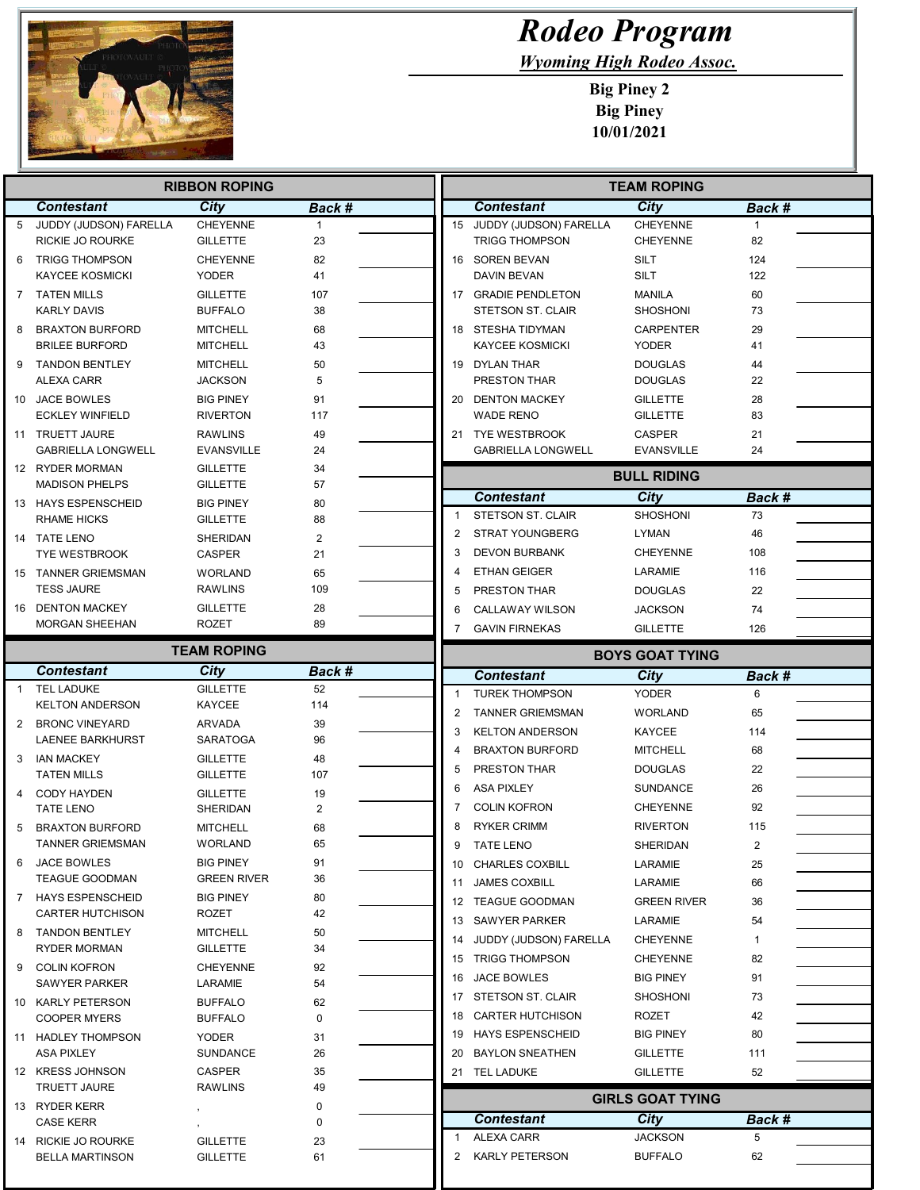

## Rodeo Program

Wyoming High Rodeo Assoc.

Big Piney 2 Big Piney 10/01/2021

| <b>RIBBON ROPING</b> |                                                  |                                     |              | <b>TEAM ROPING</b> |                         |                                          |                                    |              |  |
|----------------------|--------------------------------------------------|-------------------------------------|--------------|--------------------|-------------------------|------------------------------------------|------------------------------------|--------------|--|
|                      | <b>Contestant</b>                                | City                                | Back #       |                    |                         | <b>Contestant</b>                        | City                               | Back #       |  |
| 5                    | JUDDY (JUDSON) FARELLA                           | <b>CHEYENNE</b>                     | $\mathbf{1}$ |                    |                         | 15 JUDDY (JUDSON) FARELLA                | <b>CHEYENNE</b>                    | $\mathbf{1}$ |  |
|                      | RICKIE JO ROURKE                                 | <b>GILLETTE</b>                     | 23           |                    |                         | <b>TRIGG THOMPSON</b>                    | <b>CHEYENNE</b>                    | 82           |  |
| 6                    | <b>TRIGG THOMPSON</b>                            | <b>CHEYENNE</b>                     | 82           |                    |                         | 16 SOREN BEVAN                           | <b>SILT</b>                        | 124          |  |
|                      | <b>KAYCEE KOSMICKI</b>                           | <b>YODER</b>                        | 41           |                    |                         | <b>DAVIN BEVAN</b>                       | <b>SILT</b>                        | 122          |  |
| 7                    | <b>TATEN MILLS</b><br><b>KARLY DAVIS</b>         | <b>GILLETTE</b><br><b>BUFFALO</b>   | 107<br>38    |                    |                         | 17 GRADIE PENDLETON<br>STETSON ST. CLAIR | <b>MANILA</b><br><b>SHOSHONI</b>   | 60<br>73     |  |
| 8                    | <b>BRAXTON BURFORD</b>                           | <b>MITCHELL</b>                     | 68           |                    |                         | 18 STESHA TIDYMAN                        | <b>CARPENTER</b>                   | 29           |  |
|                      | <b>BRILEE BURFORD</b>                            | <b>MITCHELL</b>                     | 43           |                    |                         | <b>KAYCEE KOSMICKI</b>                   | <b>YODER</b>                       | 41           |  |
| 9                    | <b>TANDON BENTLEY</b>                            | <b>MITCHELL</b>                     | 50           |                    |                         | 19 DYLAN THAR                            | <b>DOUGLAS</b>                     | 44           |  |
|                      | <b>ALEXA CARR</b>                                | <b>JACKSON</b>                      | 5            |                    |                         | <b>PRESTON THAR</b>                      | <b>DOUGLAS</b>                     | 22           |  |
|                      | 10 JACE BOWLES                                   | <b>BIG PINEY</b>                    | 91           |                    |                         | 20 DENTON MACKEY                         | <b>GILLETTE</b>                    | 28           |  |
|                      | <b>ECKLEY WINFIELD</b>                           | <b>RIVERTON</b>                     | 117          |                    |                         | <b>WADE RENO</b>                         | <b>GILLETTE</b>                    | 83           |  |
|                      | 11 TRUETT JAURE<br><b>GABRIELLA LONGWELL</b>     | <b>RAWLINS</b><br><b>EVANSVILLE</b> | 49<br>24     |                    |                         | 21 TYE WESTBROOK                         | <b>CASPER</b><br><b>EVANSVILLE</b> | 21<br>24     |  |
|                      | 12 RYDER MORMAN                                  | <b>GILLETTE</b>                     | 34           |                    |                         | <b>GABRIELLA LONGWELL</b>                |                                    |              |  |
|                      | <b>MADISON PHELPS</b>                            | GILLETTE                            | 57           |                    |                         |                                          | <b>BULL RIDING</b>                 |              |  |
|                      | 13 HAYS ESPENSCHEID                              | <b>BIG PINEY</b>                    | 80           |                    |                         | <b>Contestant</b>                        | <b>City</b>                        | Back #       |  |
|                      | <b>RHAME HICKS</b>                               | <b>GILLETTE</b>                     | 88           |                    | $\mathbf{1}$            | <b>STETSON ST. CLAIR</b>                 | <b>SHOSHONI</b>                    | 73           |  |
|                      | 14 TATE LENO                                     | SHERIDAN                            | 2            |                    | 2                       | <b>STRAT YOUNGBERG</b>                   | <b>LYMAN</b>                       | 46           |  |
|                      | <b>TYE WESTBROOK</b>                             | CASPER                              | 21           |                    | 3                       | <b>DEVON BURBANK</b>                     | <b>CHEYENNE</b>                    | 108          |  |
|                      | 15 TANNER GRIEMSMAN                              | <b>WORLAND</b>                      | 65           |                    | 4                       | <b>ETHAN GEIGER</b>                      | LARAMIE                            | 116          |  |
|                      | <b>TESS JAURE</b>                                | <b>RAWLINS</b>                      | 109          |                    | 5                       | <b>PRESTON THAR</b>                      | <b>DOUGLAS</b>                     | 22           |  |
|                      | 16 DENTON MACKEY                                 | GILLETTE                            | 28           |                    | 6                       | CALLAWAY WILSON                          | <b>JACKSON</b>                     | 74           |  |
|                      | <b>MORGAN SHEEHAN</b>                            | <b>ROZET</b>                        | 89           |                    | 7                       | <b>GAVIN FIRNEKAS</b>                    | <b>GILLETTE</b>                    | 126          |  |
|                      | <b>TEAM ROPING</b>                               |                                     |              |                    | <b>BOYS GOAT TYING</b>  |                                          |                                    |              |  |
|                      | <b>Contestant</b>                                | City                                | Back #       |                    |                         | <b>Contestant</b>                        | <b>City</b>                        | Back #       |  |
| $\mathbf{1}$         | <b>TEL LADUKE</b><br><b>KELTON ANDERSON</b>      | <b>GILLETTE</b><br><b>KAYCEE</b>    | 52<br>114    |                    | $\mathbf{1}$            | <b>TUREK THOMPSON</b>                    | <b>YODER</b>                       | 6            |  |
| 2                    | <b>BRONC VINEYARD</b>                            | ARVADA                              | 39           |                    | $\overline{2}$          | <b>TANNER GRIEMSMAN</b>                  | <b>WORLAND</b>                     | 65           |  |
|                      | LAENEE BARKHURST                                 | SARATOGA                            | 96           |                    | 3                       | <b>KELTON ANDERSON</b>                   | <b>KAYCEE</b>                      | 114          |  |
| 3                    | <b>IAN MACKEY</b>                                | <b>GILLETTE</b>                     | 48           |                    | 4                       | <b>BRAXTON BURFORD</b>                   | <b>MITCHELL</b>                    | 68           |  |
|                      | <b>TATEN MILLS</b>                               | <b>GILLETTE</b>                     | 107          |                    | 5                       | PRESTON THAR                             | <b>DOUGLAS</b>                     | 22           |  |
| 4                    | <b>CODY HAYDEN</b>                               | <b>GILLETTE</b>                     | 19           |                    | 6                       | <b>ASA PIXLEY</b>                        | <b>SUNDANCE</b>                    | 26           |  |
|                      | <b>TATE LENO</b>                                 | SHERIDAN                            | 2            |                    | 7                       | <b>COLIN KOFRON</b>                      | <b>CHEYENNE</b>                    | 92           |  |
| 5                    | <b>BRAXTON BURFORD</b>                           | <b>MITCHELL</b>                     | 68           |                    | 8                       | <b>RYKER CRIMM</b>                       | <b>RIVERTON</b>                    | 115          |  |
|                      | <b>TANNER GRIEMSMAN</b>                          | <b>WORLAND</b>                      | 65           |                    | 9                       | <b>TATE LENO</b>                         | SHERIDAN                           | 2            |  |
| 6                    | JACE BOWLES                                      | <b>BIG PINEY</b>                    | 91           |                    |                         | 10 CHARLES COXBILL                       | LARAMIE                            | 25           |  |
| 7                    | <b>TEAGUE GOODMAN</b><br><b>HAYS ESPENSCHEID</b> | GREEN RIVER<br><b>BIG PINEY</b>     | 36<br>80     |                    | 11                      | <b>JAMES COXBILL</b>                     | LARAMIE                            | 66           |  |
|                      | <b>CARTER HUTCHISON</b>                          | <b>ROZET</b>                        | 42           |                    |                         | 12 TEAGUE GOODMAN                        | <b>GREEN RIVER</b>                 | 36           |  |
| 8                    | <b>TANDON BENTLEY</b>                            | MITCHELL                            | 50           |                    |                         | 13 SAWYER PARKER                         | LARAMIE                            | 54           |  |
|                      | <b>RYDER MORMAN</b>                              | GILLETTE                            | 34           |                    |                         | 14 JUDDY (JUDSON) FARELLA                | <b>CHEYENNE</b>                    | 1            |  |
| 9                    | COLIN KOFRON                                     | <b>CHEYENNE</b>                     | 92           |                    |                         | 15 TRIGG THOMPSON                        | <b>CHEYENNE</b>                    | 82           |  |
|                      | <b>SAWYER PARKER</b>                             | LARAMIE                             | 54           |                    |                         | 16 JACE BOWLES                           | <b>BIG PINEY</b>                   | 91           |  |
|                      | 10 KARLY PETERSON                                | BUFFALO                             | 62           |                    |                         | 17 STETSON ST. CLAIR                     | <b>SHOSHONI</b>                    | 73           |  |
|                      | <b>COOPER MYERS</b>                              | BUFFALO                             | 0            |                    | 18                      | CARTER HUTCHISON                         | <b>ROZET</b>                       | 42           |  |
|                      | 11 HADLEY THOMPSON                               | <b>YODER</b>                        | 31           |                    |                         | 19 HAYS ESPENSCHEID                      | <b>BIG PINEY</b>                   | 80           |  |
|                      | <b>ASA PIXLEY</b><br>12 KRESS JOHNSON            | SUNDANCE<br>CASPER                  | 26<br>35     |                    |                         | 20 BAYLON SNEATHEN<br>21 TEL LADUKE      | <b>GILLETTE</b><br><b>GILLETTE</b> | 111<br>52    |  |
|                      | <b>TRUETT JAURE</b>                              | RAWLINS                             | 49           |                    |                         |                                          |                                    |              |  |
|                      | 13 RYDER KERR                                    |                                     | 0            |                    | <b>GIRLS GOAT TYING</b> |                                          |                                    |              |  |
|                      | <b>CASE KERR</b>                                 |                                     | 0            |                    |                         | <b>Contestant</b>                        | <b>City</b>                        | Back #       |  |
|                      | 14 RICKIE JO ROURKE                              | GILLETTE                            | 23           |                    | $\mathbf{1}$            | <b>ALEXA CARR</b>                        | <b>JACKSON</b>                     | 5            |  |
|                      | <b>BELLA MARTINSON</b>                           | GILLETTE                            | 61           |                    | 2                       | <b>KARLY PETERSON</b>                    | <b>BUFFALO</b>                     | 62           |  |
|                      |                                                  |                                     |              |                    |                         |                                          |                                    |              |  |